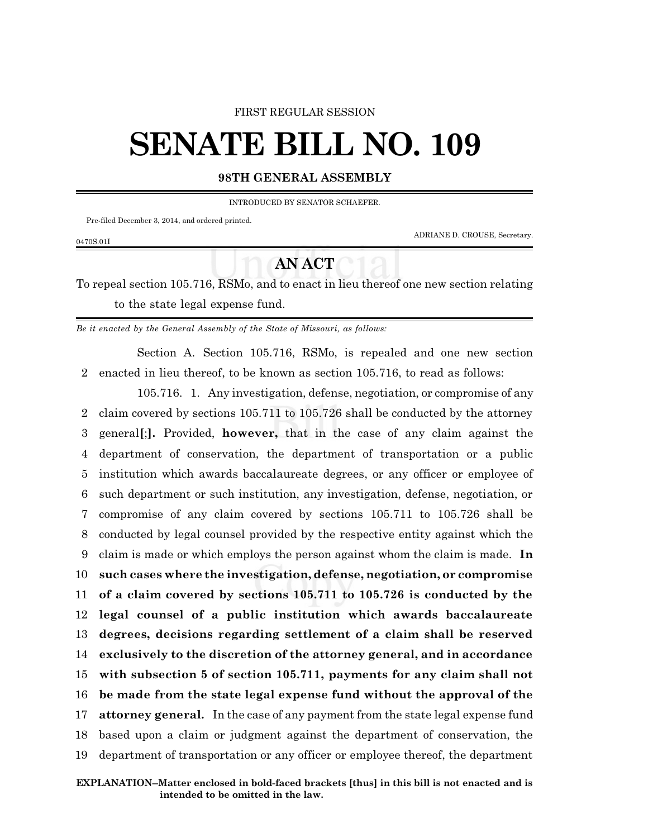## FIRST REGULAR SESSION

## **SENATE BILL NO. 109**

## **98TH GENERAL ASSEMBLY**

INTRODUCED BY SENATOR SCHAEFER.

Pre-filed December 3, 2014, and ordered printed.

0470S.01I

ADRIANE D. CROUSE, Secretary.

## **AN ACT**

To repeal section 105.716, RSMo, and to enact in lieu thereof one new section relating to the state legal expense fund.

*Be it enacted by the General Assembly of the State of Missouri, as follows:*

Section A. Section 105.716, RSMo, is repealed and one new section 2 enacted in lieu thereof, to be known as section 105.716, to read as follows:

105.716. 1. Any investigation, defense, negotiation, or compromise of any claim covered by sections 105.711 to 105.726 shall be conducted by the attorney general**[**;**].** Provided, **however,** that in the case of any claim against the department of conservation, the department of transportation or a public institution which awards baccalaureate degrees, or any officer or employee of such department or such institution, any investigation, defense, negotiation, or compromise of any claim covered by sections 105.711 to 105.726 shall be conducted by legal counsel provided by the respective entity against which the claim is made or which employs the person against whom the claim is made. **In such cases where the investigation, defense, negotiation, or compromise of a claim covered by sections 105.711 to 105.726 is conducted by the legal counsel of a public institution which awards baccalaureate degrees, decisions regarding settlement of a claim shall be reserved exclusively to the discretion of the attorney general, and in accordance with subsection 5 of section 105.711, payments for any claim shall not be made from the state legal expense fund without the approval of the attorney general.** In the case of any payment from the state legal expense fund based upon a claim or judgment against the department of conservation, the department of transportation or any officer or employee thereof, the department